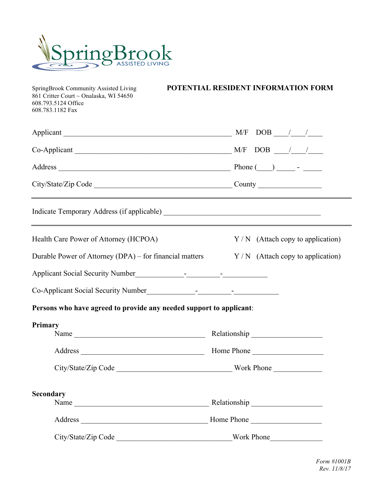

 $\begin{array}{l}{\rm SpringBrook}\text{ Community}\text{ Assisted Living}\\{\rm 861}\text{ Critten}\text{ Court} \sim \text{Onalaska},\text{ WI}\text{ 54650}\end{array}$ 608.793.5124 Office 608.783.1182 Fax

POTENTIAL RESIDENT INFORMATION FORM

| $Co\text{-}{\bf Applicant}$ $\underline{\hspace{1cm}}$ $\underline{\hspace{1cm}}$ $\underline{\hspace{1cm}}$ $\underline{\hspace{1cm}}$ $\underline{\hspace{1cm}}$ $\underline{\hspace{1cm}}$ $\underline{\hspace{1cm}}$ $\underline{\hspace{1cm}}$ $\underline{\hspace{1cm}}$ $\underline{\hspace{1cm}}$ $\underline{\hspace{1cm}}$ $\underline{\hspace{1cm}}$ $\underline{\hspace{1cm}}$ $\underline{\hspace{1cm}}$ $\underline{\hspace{1cm}}$ $\underline{\hspace{1cm}}$ |                                    |
|-----------------------------------------------------------------------------------------------------------------------------------------------------------------------------------------------------------------------------------------------------------------------------------------------------------------------------------------------------------------------------------------------------------------------------------------------------------------------------|------------------------------------|
|                                                                                                                                                                                                                                                                                                                                                                                                                                                                             |                                    |
|                                                                                                                                                                                                                                                                                                                                                                                                                                                                             |                                    |
|                                                                                                                                                                                                                                                                                                                                                                                                                                                                             |                                    |
| Health Care Power of Attorney (HCPOA)                                                                                                                                                                                                                                                                                                                                                                                                                                       | $Y/N$ (Attach copy to application) |
| Durable Power of Attorney (DPA) – for financial matters $Y/N$ (Attach copy to application)                                                                                                                                                                                                                                                                                                                                                                                  |                                    |
| Applicant Social Security Number<br><u>Land Communication</u>                                                                                                                                                                                                                                                                                                                                                                                                               |                                    |
| Co-Applicant Social Security Number<br><u>Co-Applicant Social Security Number</u>                                                                                                                                                                                                                                                                                                                                                                                           |                                    |
| Persons who have agreed to provide any needed support to applicant:                                                                                                                                                                                                                                                                                                                                                                                                         |                                    |
| Primary                                                                                                                                                                                                                                                                                                                                                                                                                                                                     |                                    |
| Name                                                                                                                                                                                                                                                                                                                                                                                                                                                                        |                                    |
|                                                                                                                                                                                                                                                                                                                                                                                                                                                                             |                                    |
|                                                                                                                                                                                                                                                                                                                                                                                                                                                                             |                                    |
| Secondary                                                                                                                                                                                                                                                                                                                                                                                                                                                                   |                                    |
| Name                                                                                                                                                                                                                                                                                                                                                                                                                                                                        |                                    |
|                                                                                                                                                                                                                                                                                                                                                                                                                                                                             |                                    |
| City/State/Zip Code ___________________________________Work Phone_______________                                                                                                                                                                                                                                                                                                                                                                                            |                                    |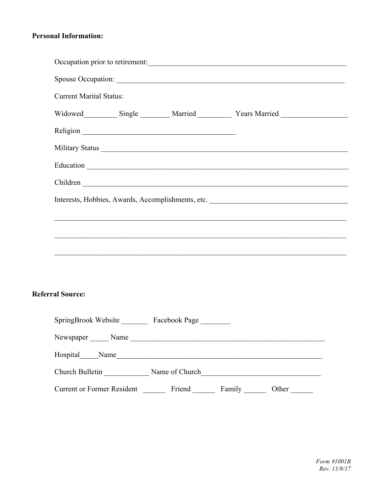## **Personal Information:**

| Occupation prior to retirement:                   |  |  |  |  |
|---------------------------------------------------|--|--|--|--|
| Spouse Occupation:                                |  |  |  |  |
| <b>Current Marital Status:</b>                    |  |  |  |  |
|                                                   |  |  |  |  |
|                                                   |  |  |  |  |
|                                                   |  |  |  |  |
|                                                   |  |  |  |  |
|                                                   |  |  |  |  |
| Interests, Hobbies, Awards, Accomplishments, etc. |  |  |  |  |
|                                                   |  |  |  |  |
|                                                   |  |  |  |  |
|                                                   |  |  |  |  |
|                                                   |  |  |  |  |

## **Referral Source:**

| SpringBrook Website               | Facebook Page  |        |       |
|-----------------------------------|----------------|--------|-------|
| Newspaper<br>Name                 |                |        |       |
| Hospital<br>Name                  |                |        |       |
| Church Bulletin                   | Name of Church |        |       |
| <b>Current or Former Resident</b> | Friend         | Family | Other |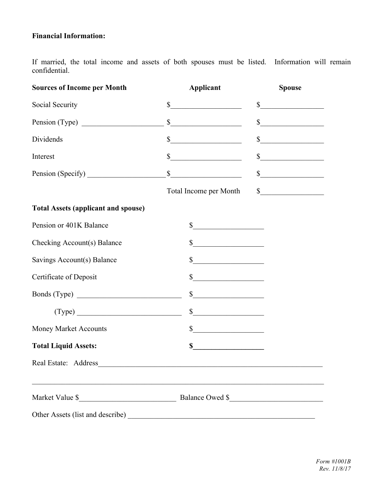## **Financial Information:**

If married, the total income and assets of both spouses must be listed. Information will remain confidential.

| <b>Sources of Income per Month</b>                                                | <b>Applicant</b>                                           | <b>Spouse</b>                                                                                                                                                                                                                                                                                                                                                       |
|-----------------------------------------------------------------------------------|------------------------------------------------------------|---------------------------------------------------------------------------------------------------------------------------------------------------------------------------------------------------------------------------------------------------------------------------------------------------------------------------------------------------------------------|
| Social Security                                                                   | $\frac{1}{2}$                                              | $\begin{array}{c c} \hline \textbf{S} & \textbf{S} & \textbf{S} \\ \hline \end{array}$                                                                                                                                                                                                                                                                              |
|                                                                                   | s                                                          | $\frac{1}{2}$                                                                                                                                                                                                                                                                                                                                                       |
| Dividends                                                                         | s                                                          | $\frac{1}{2}$                                                                                                                                                                                                                                                                                                                                                       |
| Interest                                                                          | $\frac{1}{\sqrt{1-\frac{1}{2}}\left(1-\frac{1}{2}\right)}$ | s                                                                                                                                                                                                                                                                                                                                                                   |
| Pension (Specify)                                                                 | s                                                          | $\frac{1}{2}$                                                                                                                                                                                                                                                                                                                                                       |
|                                                                                   | Total Income per Month                                     | $\begin{picture}(20,10) \put(0,0){\vector(1,0){100}} \put(15,0){\vector(1,0){100}} \put(15,0){\vector(1,0){100}} \put(15,0){\vector(1,0){100}} \put(15,0){\vector(1,0){100}} \put(15,0){\vector(1,0){100}} \put(15,0){\vector(1,0){100}} \put(15,0){\vector(1,0){100}} \put(15,0){\vector(1,0){100}} \put(15,0){\vector(1,0){100}} \put(15,0){\vector(1,0){100}} \$ |
| <b>Total Assets (applicant and spouse)</b>                                        |                                                            |                                                                                                                                                                                                                                                                                                                                                                     |
| Pension or 401K Balance                                                           | s                                                          |                                                                                                                                                                                                                                                                                                                                                                     |
| Checking Account(s) Balance                                                       | $\frac{\text{S}}{\text{S}}$                                |                                                                                                                                                                                                                                                                                                                                                                     |
| Savings Account(s) Balance                                                        | $\frac{1}{2}$                                              |                                                                                                                                                                                                                                                                                                                                                                     |
| Certificate of Deposit                                                            | s                                                          |                                                                                                                                                                                                                                                                                                                                                                     |
|                                                                                   | $\frac{\text{S}}{\text{S}}$                                |                                                                                                                                                                                                                                                                                                                                                                     |
| $(\text{Type})$                                                                   | s                                                          |                                                                                                                                                                                                                                                                                                                                                                     |
| Money Market Accounts                                                             | $\frac{\text{S}}{\text{S}}$                                |                                                                                                                                                                                                                                                                                                                                                                     |
| <b>Total Liquid Assets:</b>                                                       | \$                                                         |                                                                                                                                                                                                                                                                                                                                                                     |
|                                                                                   |                                                            |                                                                                                                                                                                                                                                                                                                                                                     |
| ,我们也不能在这里的人,我们也不能在这里的人,我们也不能在这里的人,我们也不能在这里的人,我们也不能在这里的人,我们也不能在这里的人,我们也不能在这里的人,我们也 |                                                            |                                                                                                                                                                                                                                                                                                                                                                     |
|                                                                                   |                                                            |                                                                                                                                                                                                                                                                                                                                                                     |